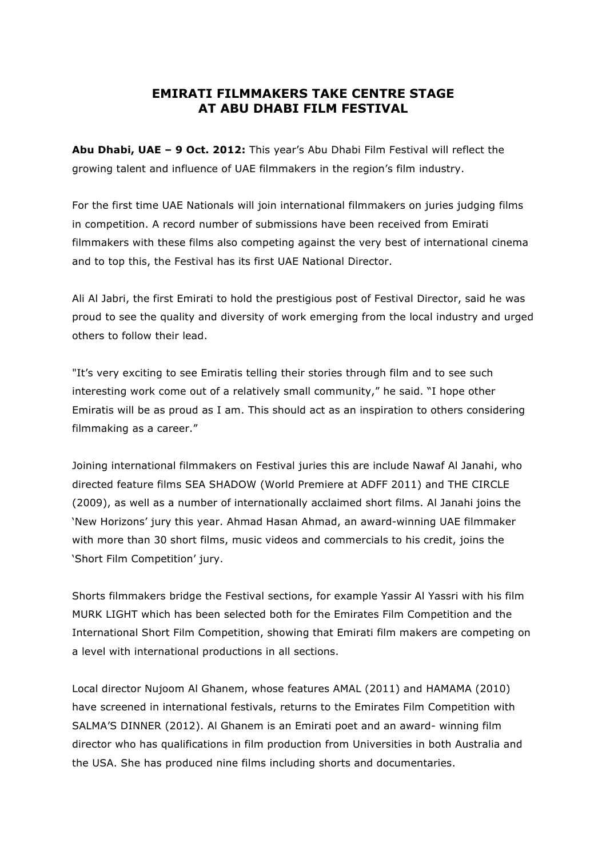## **EMIRATI FILMMAKERS TAKE CENTRE STAGE AT ABU DHABI FILM FESTIVAL**

**Abu Dhabi, UAE – 9 Oct. 2012:** This year's Abu Dhabi Film Festival will reflect the growing talent and influence of UAE filmmakers in the region's film industry.

For the first time UAE Nationals will join international filmmakers on juries judging films in competition. A record number of submissions have been received from Emirati filmmakers with these films also competing against the very best of international cinema and to top this, the Festival has its first UAE National Director.

Ali Al Jabri, the first Emirati to hold the prestigious post of Festival Director, said he was proud to see the quality and diversity of work emerging from the local industry and urged others to follow their lead.

"It's very exciting to see Emiratis telling their stories through film and to see such interesting work come out of a relatively small community," he said. "I hope other Emiratis will be as proud as I am. This should act as an inspiration to others considering filmmaking as a career."

Joining international filmmakers on Festival juries this are include Nawaf Al Janahi, who directed feature films SEA SHADOW (World Premiere at ADFF 2011) and THE CIRCLE (2009), as well as a number of internationally acclaimed short films. Al Janahi joins the 'New Horizons' jury this year. Ahmad Hasan Ahmad, an award-winning UAE filmmaker with more than 30 short films, music videos and commercials to his credit, joins the 'Short Film Competition' jury.

Shorts filmmakers bridge the Festival sections, for example Yassir Al Yassri with his film MURK LIGHT which has been selected both for the Emirates Film Competition and the International Short Film Competition, showing that Emirati film makers are competing on a level with international productions in all sections.

Local director Nujoom Al Ghanem, whose features AMAL (2011) and HAMAMA (2010) have screened in international festivals, returns to the Emirates Film Competition with SALMA'S DINNER (2012). Al Ghanem is an Emirati poet and an award- winning film director who has qualifications in film production from Universities in both Australia and the USA. She has produced nine films including shorts and documentaries.